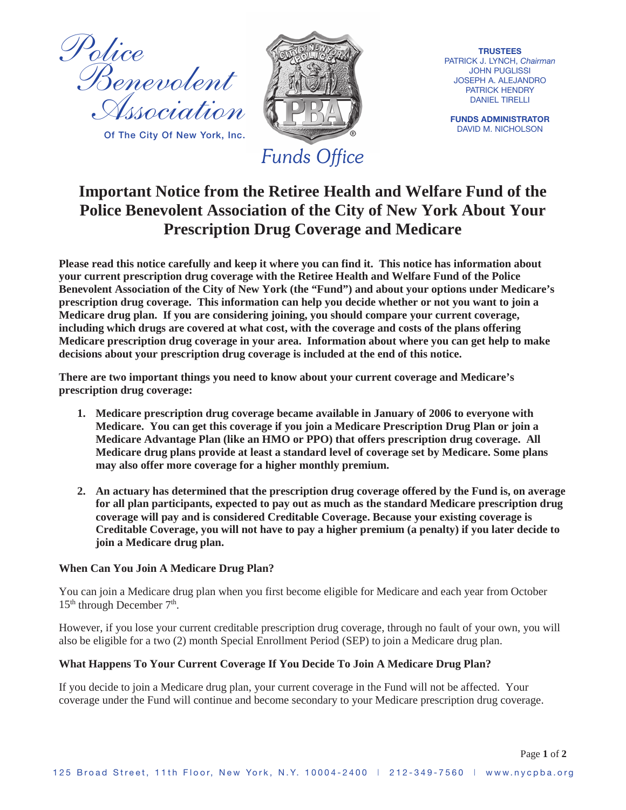

**Of The City Of New York, Inc.**



**TRUSTEES** PATRICK J. LYNCH, *Chairman* JOHN PUGLISSI JOSEPH A. ALEJANDRO PATRICK HENDRY DANIEL TIRELLI

**FUNDS ADMINISTRATOR** DAVID M. NICHOLSON

# **Important Notice from the Retiree Health and Welfare Fund of the Police Benevolent Association of the City of New York About Your Prescription Drug Coverage and Medicare**

**Please read this notice carefully and keep it where you can find it. This notice has information about your current prescription drug coverage with the Retiree Health and Welfare Fund of the Police Benevolent Association of the City of New York (the "Fund") and about your options under Medicare's prescription drug coverage. This information can help you decide whether or not you want to join a Medicare drug plan. If you are considering joining, you should compare your current coverage, including which drugs are covered at what cost, with the coverage and costs of the plans offering Medicare prescription drug coverage in your area. Information about where you can get help to make decisions about your prescription drug coverage is included at the end of this notice.**

**There are two important things you need to know about your current coverage and Medicare's prescription drug coverage:**

- **1. Medicare prescription drug coverage became available in January of 2006 to everyone with Medicare. You can get this coverage if you join a Medicare Prescription Drug Plan or join a Medicare Advantage Plan (like an HMO or PPO) that offers prescription drug coverage. All Medicare drug plans provide at least a standard level of coverage set by Medicare. Some plans may also offer more coverage for a higher monthly premium.**
- **2. An actuary has determined that the prescription drug coverage offered by the Fund is, on average for all plan participants, expected to pay out as much as the standard Medicare prescription drug coverage will pay and is considered Creditable Coverage. Because your existing coverage is Creditable Coverage, you will not have to pay a higher premium (a penalty) if you later decide to join a Medicare drug plan.**

# **When Can You Join A Medicare Drug Plan?**

You can join a Medicare drug plan when you first become eligible for Medicare and each year from October  $15<sup>th</sup>$  through December  $7<sup>th</sup>$ .

However, if you lose your current creditable prescription drug coverage, through no fault of your own, you will also be eligible for a two (2) month Special Enrollment Period (SEP) to join a Medicare drug plan.

# **What Happens To Your Current Coverage If You Decide To Join A Medicare Drug Plan?**

If you decide to join a Medicare drug plan, your current coverage in the Fund will not be affected. Your coverage under the Fund will continue and become secondary to your Medicare prescription drug coverage.

Page **1** of **2**